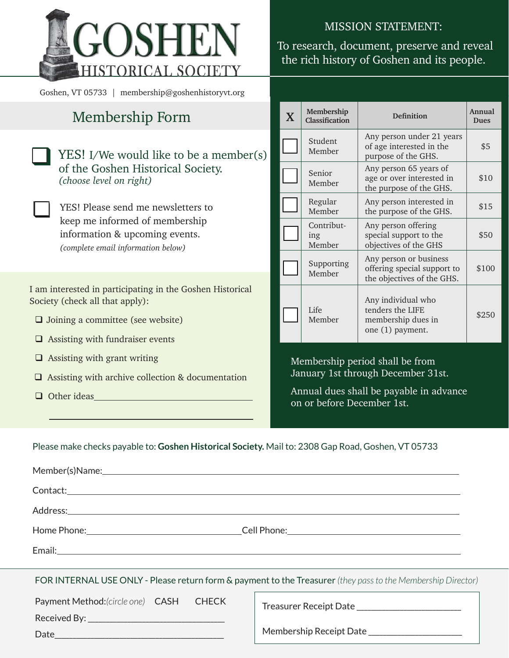

Goshen, VT 05733 | membership@goshenhistoryvt.org

# Membership Form

|                                         | YES! I/We would like to be a member(s)<br>of the Goshen Historical Society.<br>(choose level on right)                                       |  |  |
|-----------------------------------------|----------------------------------------------------------------------------------------------------------------------------------------------|--|--|
|                                         | YES! Please send me newsletters to<br>keep me informed of membership<br>information & upcoming events.<br>(complete email information below) |  |  |
|                                         | I am interested in participating in the Goshen Historical<br>Society (check all that apply):                                                 |  |  |
|                                         | $\Box$ Joining a committee (see website)                                                                                                     |  |  |
| $\Box$ Assisting with fundraiser events |                                                                                                                                              |  |  |
|                                         | $\Box$ Assisting with grant writing                                                                                                          |  |  |

- $\Box$  Assisting with archive collection & documentation
- $\Box$  Other ideas

#### MISSION STATEMENT:

## To research, document, preserve and reveal the rich history of Goshen and its people.

| $\mathbf X$ | Membership<br>Classification | <b>Definition</b>                                                                   | Annual<br>Dues |
|-------------|------------------------------|-------------------------------------------------------------------------------------|----------------|
|             | Student<br>Member            | Any person under 21 years<br>of age interested in the<br>purpose of the GHS.        | \$5            |
|             | Senior<br>Member             | Any person 65 years of<br>age or over interested in<br>the purpose of the GHS.      | \$10           |
|             | Regular<br>Member            | Any person interested in<br>the purpose of the GHS.                                 | \$15           |
|             | Contribut-<br>ing<br>Member  | Any person offering<br>special support to the<br>objectives of the GHS              | \$50           |
|             | Supporting<br>Member         | Any person or business<br>offering special support to<br>the objectives of the GHS. | \$100          |
|             | Life<br>Member               | Any individual who<br>tenders the LIFE<br>membership dues in<br>one (1) payment.    | \$250          |

Membership period shall be from January 1st through December 31st.

Annual dues shall be payable in advance on or before December 1st.

#### Please make checks payable to: **Goshen Historical Society.** Mail to: 2308 Gap Road, Goshen, VT 05733

| FOR INTERNAL USE ONLY - Please return form & payment to the Treasurer (they pass to the Membership Director) |                                                 |  |  |  |  |  |
|--------------------------------------------------------------------------------------------------------------|-------------------------------------------------|--|--|--|--|--|
| Payment Method: (circle one) CASH CHECK                                                                      |                                                 |  |  |  |  |  |
|                                                                                                              |                                                 |  |  |  |  |  |
|                                                                                                              | Membership Receipt Date _______________________ |  |  |  |  |  |